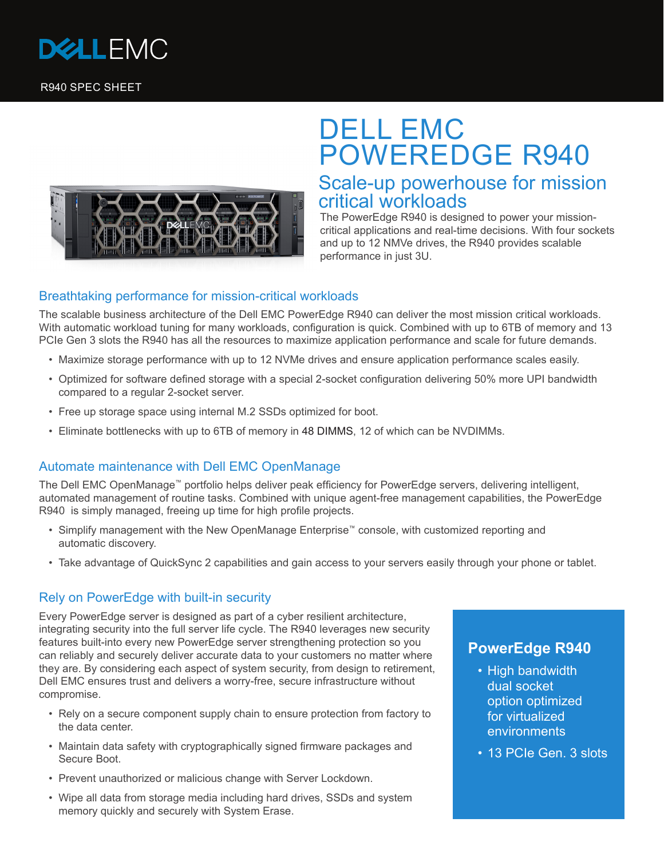

R940 SPEC SHEET



# DELL EMC POWEREDGE R940 Scale-up powerhouse for mission

## critical workloads

The PowerEdge R940 is designed to power your missioncritical applications and real-time decisions. With four sockets and up to 12 NMVe drives, the R940 provides scalable performance in just 3U.

### Breathtaking performance for mission-critical workloads

The scalable business architecture of the Dell EMC PowerEdge R940 can deliver the most mission critical workloads. With automatic workload tuning for many workloads, configuration is quick. Combined with up to 6TB of memory and 13 PCIe Gen 3 slots the R940 has all the resources to maximize application performance and scale for future demands.

- Maximize storage performance with up to 12 NVMe drives and ensure application performance scales easily.
- Optimized for software defined storage with a special 2-socket configuration delivering 50% more UPI bandwidth compared to a regular 2-socket server.
- Free up storage space using internal M.2 SSDs optimized for boot.
- Eliminate bottlenecks with up to 6TB of memory in 48 DIMMS, 12 of which can be NVDIMMs.

### Automate maintenance with Dell EMC OpenManage

The Dell EMC OpenManage™ portfolio helps deliver peak efficiency for PowerEdge servers, delivering intelligent, automated management of routine tasks. Combined with unique agent-free management capabilities, the PowerEdge R940 is simply managed, freeing up time for high profile projects.

- Simplify management with the New OpenManage Enterprise™ console, with customized reporting and automatic discovery.
- Take advantage of QuickSync 2 capabilities and gain access to your servers easily through your phone or tablet.

#### Rely on PowerEdge with built-in security

Every PowerEdge server is designed as part of a cyber resilient architecture, integrating security into the full server life cycle. The R940 leverages new security features built-into every new PowerEdge server strengthening protection so you can reliably and securely deliver accurate data to your customers no matter where they are. By considering each aspect of system security, from design to retirement, Dell EMC ensures trust and delivers a worry-free, secure infrastructure without compromise.

- Rely on a secure component supply chain to ensure protection from factory to the data center.
- Maintain data safety with cryptographically signed firmware packages and Secure Boot.
- Prevent unauthorized or malicious change with Server Lockdown.
- Wipe all data from storage media including hard drives, SSDs and system memory quickly and securely with System Erase.

## **PowerEdge R940**

- High bandwidth dual socket option optimized for virtualized environments
- 13 PCIe Gen. 3 slots